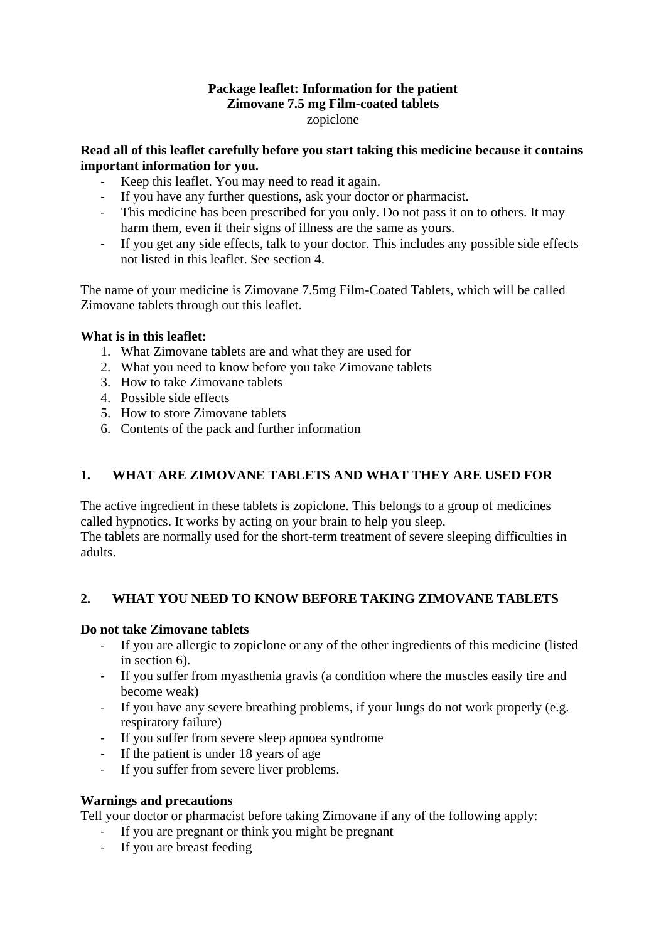#### **Package leaflet: Information for the patient Zimovane 7.5 mg Film-coated tablets** zopiclone

#### **Read all of this leaflet carefully before you start taking this medicine because it contains important information for you.**

- Keep this leaflet. You may need to read it again.
- If you have any further questions, ask your doctor or pharmacist.
- This medicine has been prescribed for you only. Do not pass it on to others. It may harm them, even if their signs of illness are the same as yours.
- If you get any side effects, talk to your doctor. This includes any possible side effects not listed in this leaflet. See section 4.

The name of your medicine is Zimovane 7.5mg Film-Coated Tablets, which will be called Zimovane tablets through out this leaflet.

## **What is in this leaflet:**

- 1. What Zimovane tablets are and what they are used for
- 2. What you need to know before you take Zimovane tablets
- 3. How to take Zimovane tablets
- 4. Possible side effects
- 5. How to store Zimovane tablets
- 6. Contents of the pack and further information

## **1. WHAT ARE ZIMOVANE TABLETS AND WHAT THEY ARE USED FOR**

The active ingredient in these tablets is zopiclone. This belongs to a group of medicines called hypnotics. It works by acting on your brain to help you sleep.

The tablets are normally used for the short-term treatment of severe sleeping difficulties in adults.

## **2. WHAT YOU NEED TO KNOW BEFORE TAKING ZIMOVANE TABLETS**

#### **Do not take Zimovane tablets**

- If you are allergic to zopiclone or any of the other ingredients of this medicine (listed in section 6).
- If you suffer from myasthenia gravis (a condition where the muscles easily tire and become weak)
- If you have any severe breathing problems, if your lungs do not work properly (e.g. respiratory failure)
- If you suffer from severe sleep apnoea syndrome
- If the patient is under 18 years of age
- If you suffer from severe liver problems.

## **Warnings and precautions**

Tell your doctor or pharmacist before taking Zimovane if any of the following apply:

- If you are pregnant or think you might be pregnant
- If you are breast feeding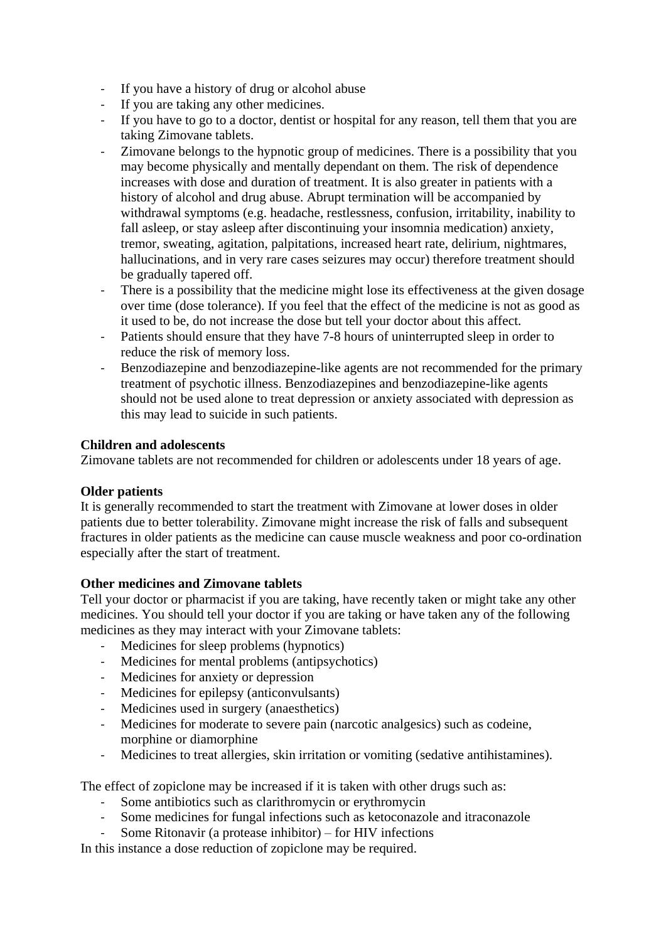- If you have a history of drug or alcohol abuse
- If you are taking any other medicines.
- If you have to go to a doctor, dentist or hospital for any reason, tell them that you are taking Zimovane tablets.
- Zimovane belongs to the hypnotic group of medicines. There is a possibility that you may become physically and mentally dependant on them. The risk of dependence increases with dose and duration of treatment. It is also greater in patients with a history of alcohol and drug abuse. Abrupt termination will be accompanied by withdrawal symptoms (e.g. headache, restlessness, confusion, irritability, inability to fall asleep, or stay asleep after discontinuing your insomnia medication) anxiety, tremor, sweating, agitation, palpitations, increased heart rate, delirium, nightmares, hallucinations, and in very rare cases seizures may occur) therefore treatment should be gradually tapered off.
- There is a possibility that the medicine might lose its effectiveness at the given dosage over time (dose tolerance). If you feel that the effect of the medicine is not as good as it used to be, do not increase the dose but tell your doctor about this affect.
- Patients should ensure that they have 7-8 hours of uninterrupted sleep in order to reduce the risk of memory loss.
- Benzodiazepine and benzodiazepine-like agents are not recommended for the primary treatment of psychotic illness. Benzodiazepines and benzodiazepine-like agents should not be used alone to treat depression or anxiety associated with depression as this may lead to suicide in such patients.

## **Children and adolescents**

Zimovane tablets are not recommended for children or adolescents under 18 years of age.

## **Older patients**

It is generally recommended to start the treatment with Zimovane at lower doses in older patients due to better tolerability. Zimovane might increase the risk of falls and subsequent fractures in older patients as the medicine can cause muscle weakness and poor co-ordination especially after the start of treatment.

## **Other medicines and Zimovane tablets**

Tell your doctor or pharmacist if you are taking, have recently taken or might take any other medicines. You should tell your doctor if you are taking or have taken any of the following medicines as they may interact with your Zimovane tablets:

- Medicines for sleep problems (hypnotics)
- Medicines for mental problems (antipsychotics)
- Medicines for anxiety or depression
- Medicines for epilepsy (anticonvulsants)
- Medicines used in surgery (anaesthetics)
- Medicines for moderate to severe pain (narcotic analgesics) such as codeine, morphine or diamorphine
- Medicines to treat allergies, skin irritation or vomiting (sedative antihistamines).

The effect of zopiclone may be increased if it is taken with other drugs such as:

- Some antibiotics such as clarithromycin or erythromycin
- Some medicines for fungal infections such as ketoconazole and itraconazole
- Some Ritonavir (a protease inhibitor) for HIV infections

In this instance a dose reduction of zopiclone may be required.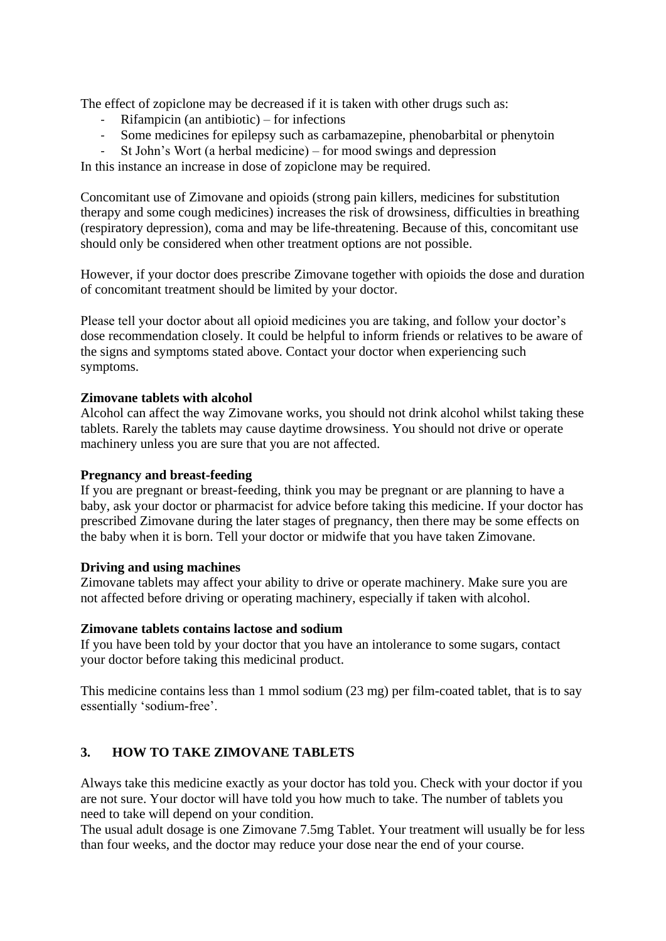The effect of zopiclone may be decreased if it is taken with other drugs such as:

- $Rifampicin (an antibiotic) for infections$
- Some medicines for epilepsy such as carbamazepine, phenobarbital or phenytoin
- St John's Wort (a herbal medicine) for mood swings and depression

In this instance an increase in dose of zopiclone may be required.

Concomitant use of Zimovane and opioids (strong pain killers, medicines for substitution therapy and some cough medicines) increases the risk of drowsiness, difficulties in breathing (respiratory depression), coma and may be life-threatening. Because of this, concomitant use should only be considered when other treatment options are not possible.

However, if your doctor does prescribe Zimovane together with opioids the dose and duration of concomitant treatment should be limited by your doctor.

Please tell your doctor about all opioid medicines you are taking, and follow your doctor's dose recommendation closely. It could be helpful to inform friends or relatives to be aware of the signs and symptoms stated above. Contact your doctor when experiencing such symptoms.

#### **Zimovane tablets with alcohol**

Alcohol can affect the way Zimovane works, you should not drink alcohol whilst taking these tablets. Rarely the tablets may cause daytime drowsiness. You should not drive or operate machinery unless you are sure that you are not affected.

#### **Pregnancy and breast-feeding**

If you are pregnant or breast-feeding, think you may be pregnant or are planning to have a baby, ask your doctor or pharmacist for advice before taking this medicine. If your doctor has prescribed Zimovane during the later stages of pregnancy, then there may be some effects on the baby when it is born. Tell your doctor or midwife that you have taken Zimovane.

#### **Driving and using machines**

Zimovane tablets may affect your ability to drive or operate machinery. Make sure you are not affected before driving or operating machinery, especially if taken with alcohol.

#### **Zimovane tablets contains lactose and sodium**

If you have been told by your doctor that you have an intolerance to some sugars, contact your doctor before taking this medicinal product.

This medicine contains less than 1 mmol sodium (23 mg) per film-coated tablet, that is to say essentially 'sodium-free'.

## **3. HOW TO TAKE ZIMOVANE TABLETS**

Always take this medicine exactly as your doctor has told you. Check with your doctor if you are not sure. Your doctor will have told you how much to take. The number of tablets you need to take will depend on your condition.

The usual adult dosage is one Zimovane 7.5mg Tablet. Your treatment will usually be for less than four weeks, and the doctor may reduce your dose near the end of your course.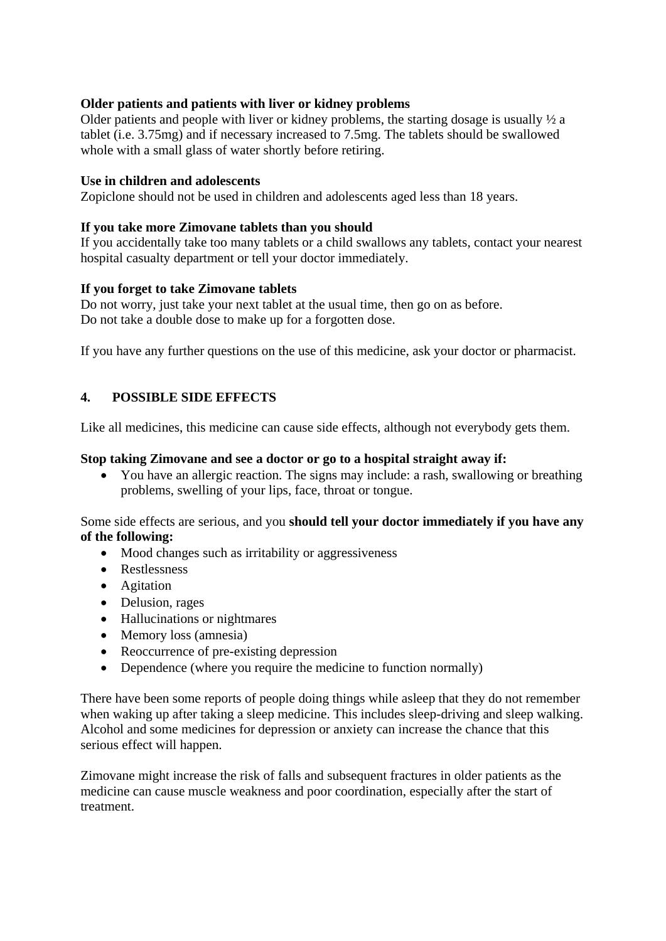#### **Older patients and patients with liver or kidney problems**

Older patients and people with liver or kidney problems, the starting dosage is usually ½ a tablet (i.e. 3.75mg) and if necessary increased to 7.5mg. The tablets should be swallowed whole with a small glass of water shortly before retiring.

#### **Use in children and adolescents**

Zopiclone should not be used in children and adolescents aged less than 18 years.

#### **If you take more Zimovane tablets than you should**

If you accidentally take too many tablets or a child swallows any tablets, contact your nearest hospital casualty department or tell your doctor immediately.

#### **If you forget to take Zimovane tablets**

Do not worry, just take your next tablet at the usual time, then go on as before. Do not take a double dose to make up for a forgotten dose.

If you have any further questions on the use of this medicine, ask your doctor or pharmacist.

#### **4. POSSIBLE SIDE EFFECTS**

Like all medicines, this medicine can cause side effects, although not everybody gets them.

#### **Stop taking Zimovane and see a doctor or go to a hospital straight away if:**

 You have an allergic reaction. The signs may include: a rash, swallowing or breathing problems, swelling of your lips, face, throat or tongue.

Some side effects are serious, and you **should tell your doctor immediately if you have any of the following:**

- Mood changes such as irritability or aggressiveness
- Restlessness
- Agitation
- Delusion, rages
- Hallucinations or nightmares
- Memory loss (amnesia)
- Reoccurrence of pre-existing depression
- Dependence (where you require the medicine to function normally)

There have been some reports of people doing things while asleep that they do not remember when waking up after taking a sleep medicine. This includes sleep-driving and sleep walking. Alcohol and some medicines for depression or anxiety can increase the chance that this serious effect will happen.

Zimovane might increase the risk of falls and subsequent fractures in older patients as the medicine can cause muscle weakness and poor coordination, especially after the start of treatment.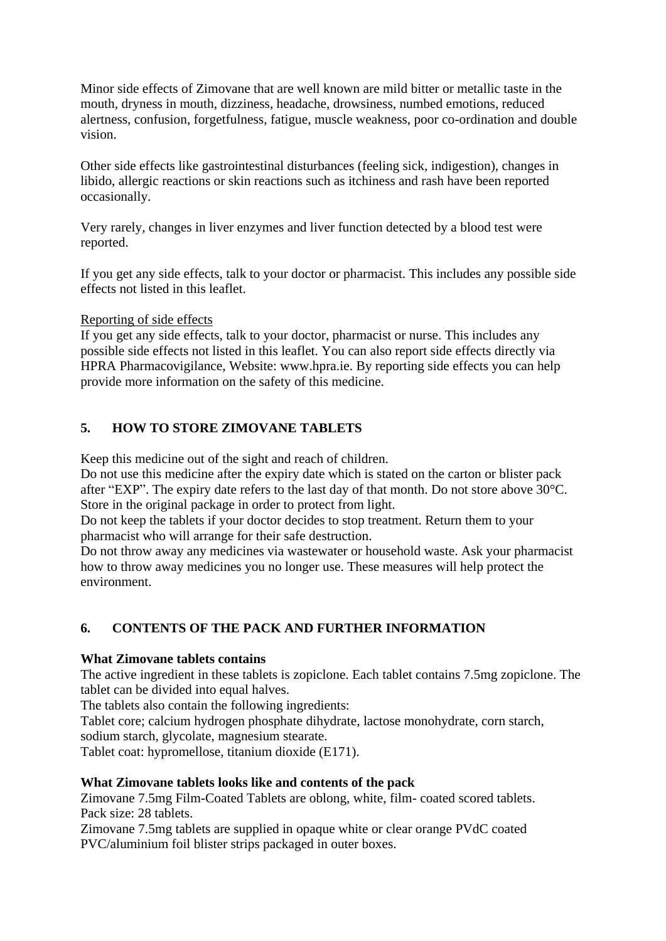Minor side effects of Zimovane that are well known are mild bitter or metallic taste in the mouth, dryness in mouth, dizziness, headache, drowsiness, numbed emotions, reduced alertness, confusion, forgetfulness, fatigue, muscle weakness, poor co-ordination and double vision.

Other side effects like gastrointestinal disturbances (feeling sick, indigestion), changes in libido, allergic reactions or skin reactions such as itchiness and rash have been reported occasionally.

Very rarely, changes in liver enzymes and liver function detected by a blood test were reported.

If you get any side effects, talk to your doctor or pharmacist. This includes any possible side effects not listed in this leaflet.

Reporting of side effects

If you get any side effects, talk to your doctor, pharmacist or nurse. This includes any possible side effects not listed in this leaflet. You can also report side effects directly via HPRA Pharmacovigilance, Website: www.hpra.ie. By reporting side effects you can help provide more information on the safety of this medicine.

## **5. HOW TO STORE ZIMOVANE TABLETS**

Keep this medicine out of the sight and reach of children.

Do not use this medicine after the expiry date which is stated on the carton or blister pack after "EXP". The expiry date refers to the last day of that month. Do not store above 30°C. Store in the original package in order to protect from light.

Do not keep the tablets if your doctor decides to stop treatment. Return them to your pharmacist who will arrange for their safe destruction.

Do not throw away any medicines via wastewater or household waste. Ask your pharmacist how to throw away medicines you no longer use. These measures will help protect the environment.

## **6. CONTENTS OF THE PACK AND FURTHER INFORMATION**

#### **What Zimovane tablets contains**

The active ingredient in these tablets is zopiclone. Each tablet contains 7.5mg zopiclone. The tablet can be divided into equal halves.

The tablets also contain the following ingredients:

Tablet core; calcium hydrogen phosphate dihydrate, lactose monohydrate, corn starch, sodium starch, glycolate, magnesium stearate.

Tablet coat: hypromellose, titanium dioxide (E171).

#### **What Zimovane tablets looks like and contents of the pack**

Zimovane 7.5mg Film-Coated Tablets are oblong, white, film- coated scored tablets. Pack size: 28 tablets.

Zimovane 7.5mg tablets are supplied in opaque white or clear orange PVdC coated PVC/aluminium foil blister strips packaged in outer boxes.